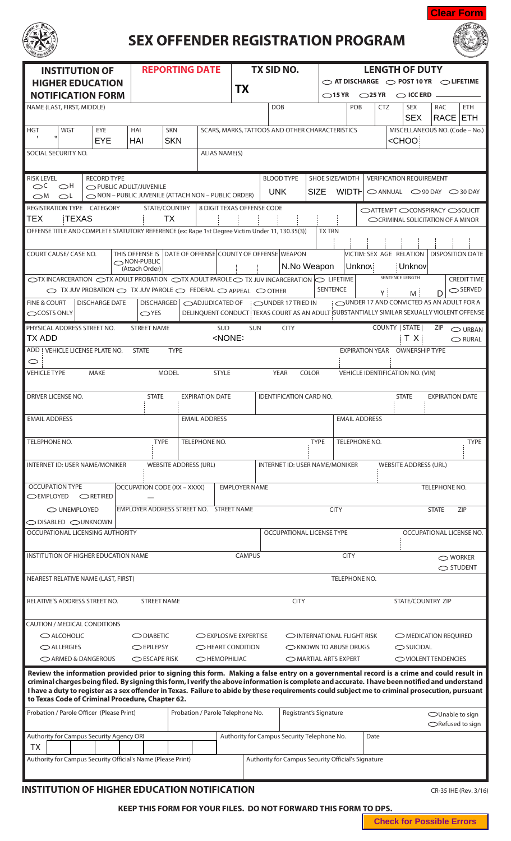

## **SEX OFFENDER REGISTRATION PROGRAM**



| <b>INSTITUTION OF</b>                                                                                                                                                                                                                                                                               |                                    | <b>REPORTING DATE</b>                                    |                            | <b>TX SID NO.</b>                                                                         |               | <b>LENGTH OF DUTY</b> |                                                             |                                                                   |                                                       |  |
|-----------------------------------------------------------------------------------------------------------------------------------------------------------------------------------------------------------------------------------------------------------------------------------------------------|------------------------------------|----------------------------------------------------------|----------------------------|-------------------------------------------------------------------------------------------|---------------|-----------------------|-------------------------------------------------------------|-------------------------------------------------------------------|-------------------------------------------------------|--|
| <b>HIGHER EDUCATION</b>                                                                                                                                                                                                                                                                             |                                    |                                                          | <b>TX</b>                  |                                                                                           |               |                       |                                                             | $\bigcirc$ at discharge $\bigcirc$ post 10 yr $\bigcirc$ lifetime |                                                       |  |
| <b>NOTIFICATION FORM</b>                                                                                                                                                                                                                                                                            |                                    |                                                          |                            |                                                                                           |               |                       | $\bigcirc$ 15 YR $\bigcirc$ 25 YR $\bigcirc$ ICC ERD $\_\_$ |                                                                   |                                                       |  |
| NAME (LAST, FIRST, MIDDLE)                                                                                                                                                                                                                                                                          |                                    |                                                          |                            | <b>DOB</b>                                                                                |               | POB                   | <b>CTZ</b>                                                  | <b>SEX</b><br><b>SEX</b>                                          | RAC<br><b>ETH</b><br>RACE ETH                         |  |
| EYE<br><b>HGT</b><br><b>WGT</b>                                                                                                                                                                                                                                                                     | <b>SKN</b><br>HAI                  |                                                          |                            | SCARS, MARKS, TATTOOS AND OTHER CHARACTERISTICS                                           |               |                       |                                                             |                                                                   | MISCELLANEOUS NO. (Code - No.)                        |  |
| $\mathbf{H}$<br><b>EYE</b>                                                                                                                                                                                                                                                                          | <b>SKN</b><br>HAI                  |                                                          |                            |                                                                                           |               |                       |                                                             | <choo< td=""><td></td></choo<>                                    |                                                       |  |
| SOCIAL SECURITY NO.                                                                                                                                                                                                                                                                                 |                                    | <b>ALIAS NAME(S)</b>                                     |                            |                                                                                           |               |                       |                                                             |                                                                   |                                                       |  |
|                                                                                                                                                                                                                                                                                                     |                                    |                                                          |                            |                                                                                           |               |                       |                                                             |                                                                   |                                                       |  |
| <b>RISK LEVEL</b><br><b>RECORD TYPE</b><br>$\circ$<br>$\bigcirc$ H<br>PUBLIC ADULT/JUVENILE                                                                                                                                                                                                         |                                    |                                                          |                            | <b>BLOOD TYPE</b>                                                                         |               | SHOE SIZE/WIDTH       | <b>VERIFICATION REQUIREMENT</b>                             |                                                                   |                                                       |  |
| $\bigcirc$ M<br>$\bigcirc$ L                                                                                                                                                                                                                                                                        |                                    | NON - PUBLIC JUVENILE (ATTACH NON - PUBLIC ORDER)        |                            | <b>UNK</b>                                                                                | <b>SIZE</b>   | WIDTH                 |                                                             |                                                                   | $\bigcirc$ ANNUAL $\bigcirc$ 90 DAY $\bigcirc$ 30 DAY |  |
| REGISTRATION TYPE CATEGORY<br>TEX<br>TEXAS                                                                                                                                                                                                                                                          | STATE/COUNTRY<br><b>TX</b>         |                                                          | 8 DIGIT TEXAS OFFENSE CODE |                                                                                           |               |                       |                                                             |                                                                   | ○ATTEMPT ○CONSPIRACY ○SOLICIT                         |  |
|                                                                                                                                                                                                                                                                                                     |                                    |                                                          |                            |                                                                                           | <b>TX TRN</b> |                       |                                                             |                                                                   | CCRIMINAL SOLICITATION OF A MINOR                     |  |
| OFFENSE TITLE AND COMPLETE STATUTORY REFERENCE (ex: Rape 1st Degree Victim Under 11, 130.35(3))                                                                                                                                                                                                     |                                    |                                                          |                            |                                                                                           |               |                       |                                                             |                                                                   |                                                       |  |
| COURT CAUSE/ CASE NO.                                                                                                                                                                                                                                                                               | NON-PUBLIC                         | THIS OFFENSE IS DATE OF OFFENSE COUNTY OF OFFENSE WEAPON |                            |                                                                                           |               |                       | VICTIM: SEX AGE RELATION                                    |                                                                   | <b>DISPOSITION DATE</b>                               |  |
| (Attach Order)                                                                                                                                                                                                                                                                                      |                                    | N.No Weapon<br><b>Unknov</b>                             |                            |                                                                                           |               |                       | Unknov<br>SENTENCE LENGTH                                   |                                                                   |                                                       |  |
| $\circ$ TX INCARCERATION $\circ$ TX ADULT PROBATION $\circ$ TX ADULT PAROLE $\circ$ TX JUV INCARCERATION $\circ$ LIFETIME<br>$\circ$ TX JUV PROBATION $\circ$ TX JUV PAROLE $\circ$ FEDERAL $\circ$ Appeal $\circ$ other                                                                            |                                    |                                                          |                            |                                                                                           |               | <b>SENTENCE</b>       |                                                             |                                                                   | <b>CREDIT TIME</b><br>$\bigcirc$ SERVED               |  |
| <b>FINE &amp; COURT</b><br><b>DISCHARGE DATE</b>                                                                                                                                                                                                                                                    | <b>DISCHARGED</b>                  |                                                          |                            | ◯ADJUDICATED OF : ◯UNDER 17 TRIED IN                                                      |               |                       | Υİ                                                          | M                                                                 | OUNDER 17 AND CONVICTED AS AN ADULT FOR A             |  |
| $\bigcirc$ COSTS ONLY                                                                                                                                                                                                                                                                               | $\bigcirc$ YES                     |                                                          |                            | DELINQUENT CONDUCT TEXAS COURT AS AN ADULT SUBSTANTIALLY SIMILAR SEXUALLY VIOLENT OFFENSE |               |                       |                                                             |                                                                   |                                                       |  |
| PHYSICAL ADDRESS STREET NO.                                                                                                                                                                                                                                                                         | <b>STREET NAME</b>                 | <b>SUD</b>                                               | <b>SUN</b>                 | <b>CITY</b>                                                                               |               |                       | COUNTY   STATE                                              |                                                                   | ZIP<br>$\bigcirc$ URBAN                               |  |
| TX ADD                                                                                                                                                                                                                                                                                              |                                    | <none></none>                                            |                            |                                                                                           |               |                       |                                                             | T X I                                                             | $\bigcirc$ RURAL                                      |  |
| ADD   VEHICLE LICENSE PLATE NO.<br>$\circ$                                                                                                                                                                                                                                                          | <b>TYPE</b><br><b>STATE</b>        |                                                          |                            |                                                                                           |               |                       | EXPIRATION YEAR OWNERSHIP TYPE                              |                                                                   |                                                       |  |
| <b>VEHICLE TYPE</b><br><b>MAKE</b>                                                                                                                                                                                                                                                                  | <b>MODEL</b>                       | <b>STYLE</b>                                             |                            | <b>YEAR</b>                                                                               | <b>COLOR</b>  |                       | VEHICLE IDENTIFICATION NO. (VIN)                            |                                                                   |                                                       |  |
|                                                                                                                                                                                                                                                                                                     |                                    |                                                          |                            |                                                                                           |               |                       |                                                             |                                                                   |                                                       |  |
| DRIVER LICENSE NO.                                                                                                                                                                                                                                                                                  | <b>STATE</b>                       | <b>EXPIRATION DATE</b>                                   |                            | <b>IDENTIFICATION CARD NO.</b>                                                            |               |                       |                                                             | <b>STATE</b>                                                      | <b>EXPIRATION DATE</b>                                |  |
| <b>EMAIL ADDRESS</b>                                                                                                                                                                                                                                                                                |                                    | <b>EMAIL ADDRESS</b>                                     |                            |                                                                                           |               | <b>EMAIL ADDRESS</b>  |                                                             |                                                                   |                                                       |  |
|                                                                                                                                                                                                                                                                                                     |                                    |                                                          |                            |                                                                                           |               |                       |                                                             |                                                                   |                                                       |  |
| TELEPHONE NO.                                                                                                                                                                                                                                                                                       | <b>TYPE</b>                        | TELEPHONE NO.                                            |                            |                                                                                           | <b>TYPE</b>   | TELEPHONE NO.         |                                                             |                                                                   | <b>TYPE</b>                                           |  |
|                                                                                                                                                                                                                                                                                                     |                                    |                                                          |                            |                                                                                           |               |                       |                                                             |                                                                   |                                                       |  |
| <b>INTERNET ID: USER NAME/MONIKER</b><br><b>WEBSITE ADDRESS (URL)</b><br><b>INTERNET ID: USER NAME/MONIKER</b><br><b>WEBSITE ADDRESS (URL)</b>                                                                                                                                                      |                                    |                                                          |                            |                                                                                           |               |                       |                                                             |                                                                   |                                                       |  |
| <b>OCCUPATION TYPE</b>                                                                                                                                                                                                                                                                              | <b>OCCUPATION CODE (XX - XXXX)</b> |                                                          | <b>EMPLOYER NAME</b>       |                                                                                           |               |                       |                                                             |                                                                   | TELEPHONE NO.                                         |  |
| <b>OEMPLOYED</b><br>ORETIRED                                                                                                                                                                                                                                                                        |                                    |                                                          |                            |                                                                                           |               |                       |                                                             |                                                                   |                                                       |  |
| O UNEMPLOYED                                                                                                                                                                                                                                                                                        |                                    | EMPLOYER ADDRESS STREET NO. STREET NAME                  |                            |                                                                                           | <b>CITY</b>   |                       |                                                             | ZIP<br><b>STATE</b>                                               |                                                       |  |
| $\bigcirc$ disabled $\bigcirc$ unknown<br>OCCUPATIONAL LICENSING AUTHORITY                                                                                                                                                                                                                          |                                    |                                                          |                            | OCCUPATIONAL LICENSE TYPE                                                                 |               |                       |                                                             |                                                                   | OCCUPATIONAL LICENSE NO.                              |  |
|                                                                                                                                                                                                                                                                                                     |                                    |                                                          |                            |                                                                                           |               |                       |                                                             |                                                                   |                                                       |  |
| INSTITUTION OF HIGHER EDUCATION NAME                                                                                                                                                                                                                                                                |                                    | <b>CAMPUS</b>                                            | <b>CITY</b>                |                                                                                           |               |                       | ◯ WORKER                                                    |                                                                   |                                                       |  |
|                                                                                                                                                                                                                                                                                                     |                                    |                                                          |                            |                                                                                           |               |                       | ◯ STUDENT                                                   |                                                                   |                                                       |  |
| NEAREST RELATIVE NAME (LAST, FIRST)                                                                                                                                                                                                                                                                 |                                    |                                                          |                            |                                                                                           |               | TELEPHONE NO.         |                                                             |                                                                   |                                                       |  |
| RELATIVE'S ADDRESS STREET NO.                                                                                                                                                                                                                                                                       | <b>STREET NAME</b>                 | <b>CITY</b>                                              |                            |                                                                                           |               |                       | STATE/COUNTRY ZIP                                           |                                                                   |                                                       |  |
|                                                                                                                                                                                                                                                                                                     |                                    |                                                          |                            |                                                                                           |               |                       |                                                             |                                                                   |                                                       |  |
| CAUTION / MEDICAL CONDITIONS                                                                                                                                                                                                                                                                        |                                    |                                                          |                            |                                                                                           |               |                       |                                                             |                                                                   |                                                       |  |
| $\bigcirc$ ALCOHOLIC<br>$\bigcirc$ DIABETIC<br>EXPLOSIVE EXPERTISE<br>$\bigcirc$ ALLERGIES<br><b>O EPILEPSY</b><br>O HEART CONDITION                                                                                                                                                                |                                    |                                                          |                            | O INTERNATIONAL FLIGHT RISK<br>$\bigcirc$ KNOWN TO ABUSE DRUGS                            |               |                       |                                                             | OMEDICATION REQUIRED<br>$\bigcirc$ SUICIDAL                       |                                                       |  |
| ◯ ARMED & DANGEROUS<br>$\bigcirc$ ESCAPE RISK<br>OHEMOPHILIAC                                                                                                                                                                                                                                       |                                    |                                                          |                            | OMARTIAL ARTS EXPERT                                                                      |               |                       |                                                             | OVIOLENT TENDENCIES                                               |                                                       |  |
| Review the information provided prior to signing this form. Making a false entry on a governmental record is a crime and could result in                                                                                                                                                            |                                    |                                                          |                            |                                                                                           |               |                       |                                                             |                                                                   |                                                       |  |
| criminal charges being filed. By signing this form, I verify the above information is complete and accurate. I have been notified and understand<br>I have a duty to register as a sex offender in Texas. Failure to abide by these requirements could subject me to criminal prosecution, pursuant |                                    |                                                          |                            |                                                                                           |               |                       |                                                             |                                                                   |                                                       |  |
| to Texas Code of Criminal Procedure, Chapter 62.                                                                                                                                                                                                                                                    |                                    |                                                          |                            |                                                                                           |               |                       |                                                             |                                                                   |                                                       |  |
| Probation / Parole Officer (Please Print)                                                                                                                                                                                                                                                           |                                    | Probation / Parole Telephone No.                         |                            | Registrant's Signature                                                                    |               |                       |                                                             |                                                                   | ◯Unable to sign                                       |  |
|                                                                                                                                                                                                                                                                                                     |                                    |                                                          |                            |                                                                                           |               |                       |                                                             |                                                                   | ○Refused to sign                                      |  |
| Authority for Campus Security Agency ORI<br>ТX                                                                                                                                                                                                                                                      |                                    |                                                          |                            | Authority for Campus Security Telephone No.                                               |               |                       | Date                                                        |                                                                   |                                                       |  |
| Authority for Campus Security Official's Name (Please Print)                                                                                                                                                                                                                                        |                                    |                                                          |                            | Authority for Campus Security Official's Signature                                        |               |                       |                                                             |                                                                   |                                                       |  |
|                                                                                                                                                                                                                                                                                                     |                                    |                                                          |                            |                                                                                           |               |                       |                                                             |                                                                   |                                                       |  |
| <b>INSTITUTION OF HIGHER EDUCATION NOTIFICATION</b>                                                                                                                                                                                                                                                 |                                    |                                                          |                            |                                                                                           |               |                       |                                                             |                                                                   | CR-35 IHE (Rev. 3/16)                                 |  |

**KEEP THIS FORM FOR YOUR FILES. DO NOT FORWARD THIS FORM TO DPS.**